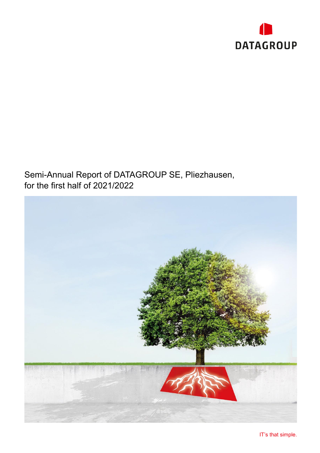

## Semi-Annual Report of DATAGROUP SE, Pliezhausen, for the first half of 2021/2022

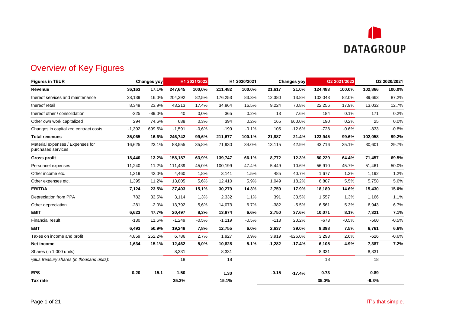

## Overview of Key Figures

<span id="page-1-0"></span>

| <b>Figures in TEUR</b>                                 | Changes yoy |          | H1 2021/2022 |         | H1 2020/2021 |         | Changes yoy |           | Q2 2021/2022 |         | Q2 2020/2021 |         |
|--------------------------------------------------------|-------------|----------|--------------|---------|--------------|---------|-------------|-----------|--------------|---------|--------------|---------|
| Revenue                                                | 36,163      | 17.1%    | 247,645      | 100,0%  | 211,482      | 100.0%  | 21,617      | 21.0%     | 124,483      | 100.0%  | 102,866      | 100.0%  |
| thereof services and maintenance                       | 28,139      | 16.0%    | 204,392      | 82,5%   | 176,253      | 83.3%   | 12,380      | 13.8%     | 102,043      | 82.0%   | 89,663       | 87.2%   |
| thereof retail                                         | 8,349       | 23.9%    | 43,213       | 17,4%   | 34,864       | 16.5%   | 9,224       | 70.8%     | 22,256       | 17.9%   | 13,032       | 12.7%   |
| thereof other / consolidation                          | $-325$      | $-89.0%$ | 40           | 0,0%    | 365          | 0.2%    | 13          | 7.6%      | 184          | 0.1%    | 171          | 0.2%    |
| Other own work capitalized                             | 294         | 74.6%    | 688          | 0,3%    | 394          | 0.2%    | 165         | 660.0%    | 190          | 0.2%    | 25           | 0.0%    |
| Changes in capitalized contract costs                  | $-1,392$    | 699.5%   | $-1,591$     | $-0.6%$ | $-199$       | $-0.1%$ | 105         | $-12.6%$  | $-728$       | $-0.6%$ | $-833$       | $-0.8%$ |
| <b>Total revenues</b>                                  | 35,065      | 16.6%    | 246,742      | 99,6%   | 211,677      | 100.1%  | 21,887      | 21.4%     | 123,945      | 99.6%   | 102,058      | 99.2%   |
| Material expenses / Expenses for<br>purchased services | 16,625      | 23.1%    | 88,555       | 35,8%   | 71,930       | 34.0%   | 13,115      | 42.9%     | 43,716       | 35.1%   | 30,601       | 29.7%   |
| <b>Gross profit</b>                                    | 18,440      | 13.2%    | 158,187      | 63,9%   | 139,747      | 66.1%   | 8,772       | 12.3%     | 80,229       | 64.4%   | 71,457       | 69.5%   |
| Personnel expenses                                     | 11,240      | 11.2%    | 111,439      | 45,0%   | 100,199      | 47.4%   | 5,449       | 10.6%     | 56,910       | 45.7%   | 51,461       | 50.0%   |
| Other income etc.                                      | 1,319       | 42.0%    | 4,460        | 1,8%    | 3,141        | 1.5%    | 485         | 40.7%     | 1,677        | 1.3%    | 1,192        | 1.2%    |
| Other expenses etc.                                    | 1,395       | 11.2%    | 13,805       | 5,6%    | 12,410       | 5.9%    | 1,049       | 18.2%     | 6,807        | 5.5%    | 5,758        | 5.6%    |
| <b>EBITDA</b>                                          | 7,124       | 23.5%    | 37,403       | 15,1%   | 30,279       | 14.3%   | 2,759       | 17.9%     | 18,189       | 14.6%   | 15,430       | 15.0%   |
| Depreciation from PPA                                  | 782         | 33.5%    | 3,114        | 1,3%    | 2,332        | 1.1%    | 391         | 33.5%     | 1,557        | 1.3%    | 1,166        | 1.1%    |
| Other depreciation                                     | $-281$      | $-2.0%$  | 13,792       | 5,6%    | 14,073       | 6.7%    | $-382$      | $-5.5%$   | 6,561        | 5.3%    | 6,943        | 6.7%    |
| <b>EBIT</b>                                            | 6,623       | 47.7%    | 20,497       | 8,3%    | 13,874       | 6.6%    | 2,750       | 37.6%     | 10,071       | 8.1%    | 7,321        | 7.1%    |
| <b>Financial result</b>                                | $-130$      | 11.6%    | $-1,249$     | $-0,5%$ | $-1,119$     | $-0.5%$ | $-113$      | 20.2%     | $-673$       | $-0.5%$ | $-560$       | $-0.5%$ |
| <b>EBT</b>                                             | 6,493       | 50.9%    | 19,248       | 7,8%    | 12,755       | 6.0%    | 2,637       | 39.0%     | 9,398        | 7.5%    | 6,761        | 6.6%    |
| Taxes on income and profit                             | 4,859       | 252.2%   | 6.786        | 2,7%    | 1,927        | 0.9%    | 3,919       | $-626.0%$ | 3,293        | 2.6%    | $-626$       | $-0.6%$ |
| Net income                                             | 1,634       | 15.1%    | 12,462       | 5,0%    | 10,828       | 5.1%    | $-1,282$    | $-17.4%$  | 6,105        | 4.9%    | 7,387        | 7.2%    |
| Shares (in 1,000 units)                                |             |          | 8,331        |         | 8,331        |         |             |           | 8,331        |         | 8,331        |         |
| 1plus treasury shares (in thousand units):             |             |          | 18           |         | 18           |         |             |           | 18           |         | 18           |         |
| <b>EPS</b>                                             | 0.20        | 15.1     | 1.50         |         | 1.30         |         | $-0.15$     | $-17.4%$  | 0.73         |         | 0.89         |         |
| Tax rate                                               |             |          | 35.3%        |         | 15.1%        |         |             |           | 35.0%        |         | $-9.3%$      |         |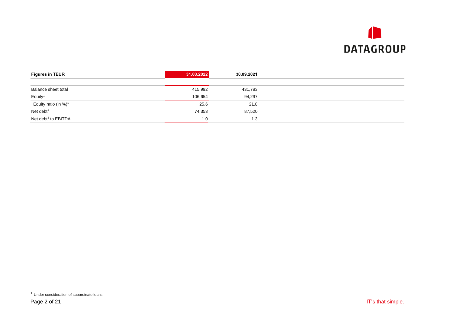

| <b>Figures in TEUR</b>           | 31.03.2022 | 30.09.2021 |  |
|----------------------------------|------------|------------|--|
|                                  |            |            |  |
| Balance sheet total              | 415,992    | 431,783    |  |
| Equity <sup>1</sup>              | 106,654    | 94,297     |  |
| Equity ratio (in %) <sup>1</sup> | 25.6       | 21.8       |  |
| Net debt <sup>1</sup>            | 74,353     | 87,520     |  |
| Net debt <sup>1</sup> to EBITDA  | 1.0        | 1.3        |  |
|                                  |            |            |  |

<sup>1</sup> Under consideration of subordinate loans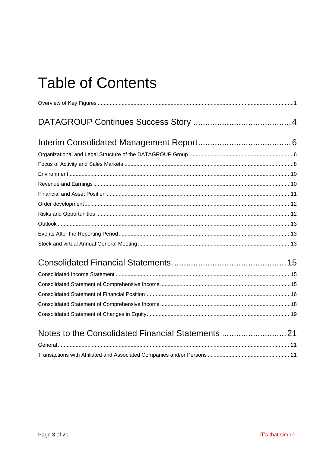# **Table of Contents**

| Notes to the Consolidated Financial Statements 21 |  |
|---------------------------------------------------|--|
|                                                   |  |
|                                                   |  |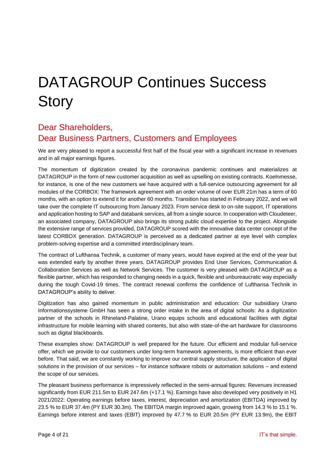# <span id="page-4-0"></span>DATAGROUP Continues Success **Story**

#### Dear Shareholders, Dear Business Partners, Customers and Employees

We are very pleased to report a successful first half of the fiscal year with a significant increase in revenues and in all major earnings figures.

The momentum of digitization created by the coronavirus pandemic continues and materializes at DATAGROUP in the form of new customer acquisition as well as upselling on existing contracts. Koelnmesse, for instance, is one of the new customers we have acquired with a full-service outsourcing agreement for all modules of the CORBOX: The framework agreement with an order volume of over EUR 21m has a term of 60 months, with an option to extend it for another 60 months. Transition has started in February 2022, and we will take over the complete IT outsourcing from January 2023. From service desk to on-site support, IT operations and application hosting to SAP and databank services, all from a single source. In cooperation with Cloudeteer, an associated company, DATAGROUP also brings its strong public cloud expertise to the project. Alongside the extensive range of services provided, DATAGROUP scored with the innovative data center concept of the latest CORBOX generation. DATAGROUP is perceived as a dedicated partner at eye level with complex problem-solving expertise and a committed interdisciplinary team.

The contract of Lufthansa Technik, a customer of many years, would have expired at the end of the year but was extended early by another three years. DATAGROUP provides End User Services, Communication & Collaboration Services as well as Network Services. The customer is very pleased with DATAGROUP as a flexible partner, which has responded to changing needs in a quick, flexible and unbureaucratic way especially during the tough Covid-19 times. The contract renewal confirms the confidence of Lufthansa Technik in DATAGROUP's ability to deliver.

Digitization has also gained momentum in public administration and education: Our subsidiary Urano Informationssysteme GmbH has seen a strong order intake in the area of digital schools: As a digitization partner of the schools in Rhineland-Palatine, Urano equips schools and educational facilities with digital infrastructure for mobile learning with shared contents, but also with state-of-the-art hardware for classrooms such as digital blackboards.

These examples show: DATAGROUP is well prepared for the future. Our efficient and modular full-service offer, which we provide to our customers under long-term framework agreements, is more efficient than ever before. That said, we are constantly working to improve our central supply structure, the application of digital solutions in the provision of our services – for instance software robots or automation solutions – and extend the scope of our services.

The pleasant business performance is impressively reflected in the semi-annual figures: Revenues increased significantly from EUR 211.5m to EUR 247.6m (+17.1 %). Earnings have also developed very positively in H1 2021/2022: Operating earnings before taxes, interest, depreciation and amortization (EBITDA) improved by 23.5 % to EUR 37.4m (PY EUR 30.3m). The EBITDA margin improved again, growing from 14.3 % to 15.1 %. Earnings before interest and taxes (EBIT) improved by 47.7 % to EUR 20.5m (PY EUR 13.9m), the EBIT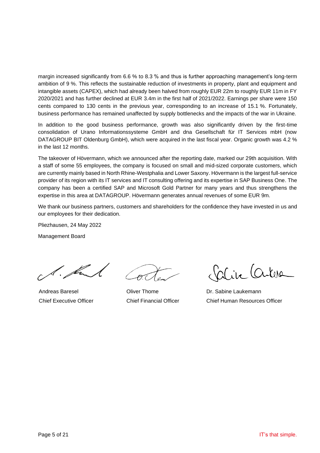margin increased significantly from 6.6 % to 8.3 % and thus is further approaching management's long-term ambition of 9 %. This reflects the sustainable reduction of investments in property, plant and equipment and intangible assets (CAPEX), which had already been halved from roughly EUR 22m to roughly EUR 11m in FY 2020/2021 and has further declined at EUR 3.4m in the first half of 2021/2022. Earnings per share were 150 cents compared to 130 cents in the previous year, corresponding to an increase of 15.1 %. Fortunately, business performance has remained unaffected by supply bottlenecks and the impacts of the war in Ukraine.

In addition to the good business performance, growth was also significantly driven by the first-time consolidation of Urano Informationssysteme GmbH and dna Gesellschaft für IT Services mbH (now DATAGROUP BIT Oldenburg GmbH), which were acquired in the last fiscal year. Organic growth was 4.2 % in the last 12 months.

The takeover of Hövermann, which we announced after the reporting date, marked our 29th acquisition. With a staff of some 55 employees, the company is focused on small and mid-sized corporate customers, which are currently mainly based in North Rhine-Westphalia and Lower Saxony. Hövermann is the largest full-service provider of its region with its IT services and IT consulting offering and its expertise in SAP Business One. The company has been a certified SAP and Microsoft Gold Partner for many years and thus strengthens the expertise in this area at DATAGROUP. Hövermann generates annual revenues of some EUR 9m.

We thank our business partners, customers and shareholders for the confidence they have invested in us and our employees for their dedication.

Pliezhausen, 24 May 2022

Management Board

l. fr

Andreas Baresel Chief Executive Officer

Oliver Thome Chief Financial Officer

Carline Carlesa

Dr. Sabine Laukemann Chief Human Resources Officer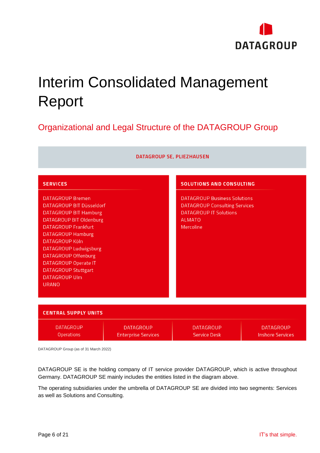

# <span id="page-6-0"></span>Interim Consolidated Management Report

## <span id="page-6-1"></span>Organizational and Legal Structure of the DATAGROUP Group

| DATAGROUP SE, PLIEZHAUSEN                                                                                                                                                                                                                                                                                                                                                               |                                                |                                                                                                                                                                               |                                             |  |  |  |  |
|-----------------------------------------------------------------------------------------------------------------------------------------------------------------------------------------------------------------------------------------------------------------------------------------------------------------------------------------------------------------------------------------|------------------------------------------------|-------------------------------------------------------------------------------------------------------------------------------------------------------------------------------|---------------------------------------------|--|--|--|--|
| <b>SERVICES</b><br><b>DATAGROUP Bremen</b><br>DATAGROUP BIT Düsseldorf<br><b>DATAGROUP BIT Hamburg</b><br><b>DATAGROUP BIT Oldenburg</b><br><b>DATAGROUP Frankfurt</b><br><b>DATAGROUP Hamburg</b><br><b>DATAGROUP Köln</b><br>DATAGROUP Ludwigsburg<br><b>DATAGROUP Offenburg</b><br><b>DATAGROUP Operate IT</b><br><b>DATAGROUP Stuttgart</b><br><b>DATAGROUP Ulm</b><br><b>URANO</b> |                                                | <b>SOLUTIONS AND CONSULTING</b><br><b>DATAGROUP Business Solutions</b><br><b>DATAGROUP Consulting Services</b><br><b>DATAGROUP IT Solutions</b><br><b>ALMATO</b><br>Mercoline |                                             |  |  |  |  |
| <b>CENTRAL SUPPLY UNITS</b>                                                                                                                                                                                                                                                                                                                                                             |                                                |                                                                                                                                                                               |                                             |  |  |  |  |
| <b>DATAGROUP</b><br><b>Operations</b>                                                                                                                                                                                                                                                                                                                                                   | <b>DATAGROUP</b><br><b>Enterprise Services</b> | <b>DATAGROUP</b><br><b>Service Desk</b>                                                                                                                                       | <b>DATAGROUP</b><br><b>Inshore Services</b> |  |  |  |  |

DATAGROUP Group (as of 31 March 2022)

DATAGROUP SE is the holding company of IT service provider DATAGROUP, which is active throughout Germany. DATAGROUP SE mainly includes the entities listed in the diagram above.

The operating subsidiaries under the umbrella of DATAGROUP SE are divided into two segments: Services as well as Solutions and Consulting.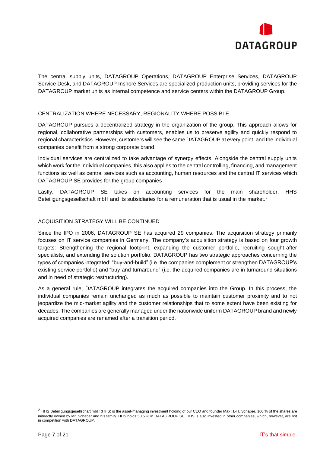

The central supply units, DATAGROUP Operations, DATAGROUP Enterprise Services, DATAGROUP Service Desk, and DATAGROUP Inshore Services are specialized production units, providing services for the DATAGROUP market units as internal competence and service centers within the DATAGROUP Group.

#### CENTRALIZATION WHERE NECESSARY, REGIONALITY WHERE POSSIBLE

DATAGROUP pursues a decentralized strategy in the organization of the group. This approach allows for regional, collaborative partnerships with customers, enables us to preserve agility and quickly respond to regional characteristics. However, customers will see the same DATAGROUP at every point, and the individual companies benefit from a strong corporate brand.

Individual services are centralized to take advantage of synergy effects. Alongside the central supply units which work for the individual companies, this also applies to the central controlling, financing, and management functions as well as central services such as accounting, human resources and the central IT services which DATAGROUP SE provides for the group companies

Lastly, DATAGROUP SE takes on accounting services for the main shareholder, HHS Beteiligungsgesellschaft mbH and its subsidiaries for a remuneration that is usual in the market.<sup>2</sup>

#### ACQUISITION STRATEGY WILL BE CONTINUED

Since the IPO in 2006, DATAGROUP SE has acquired 29 companies. The acquisition strategy primarily focuses on IT service companies in Germany. The company's acquisition strategy is based on four growth targets: Strengthening the regional footprint, expanding the customer portfolio, recruiting sought-after specialists, and extending the solution portfolio. DATAGROUP has two strategic approaches concerning the types of companies integrated: "buy-and-build" (i.e. the companies complement or strengthen DATAGROUP's existing service portfolio) and "buy-and-turnaround" (i.e. the acquired companies are in turnaround situations and in need of strategic restructuring).

As a general rule, DATAGROUP integrates the acquired companies into the Group. In this process, the individual companies remain unchanged as much as possible to maintain customer proximity and to not jeopardize the mid-market agility and the customer relationships that to some extent have been existing for decades. The companies are generally managed under the nationwide uniform DATAGROUP brand and newly acquired companies are renamed after a transition period.

 $2$  HHS Beteiligungsgesellschaft mbH (HHS) is the asset-managing investment holding of our CEO and founder Max H.-H. Schaber. 100 % of the shares are indirectly owned by Mr. Schaber and his family. HHS holds 53.5 % in DATAGROUP SE. HHS is also invested in other companies, which, however, are not in competition with DATAGROUP.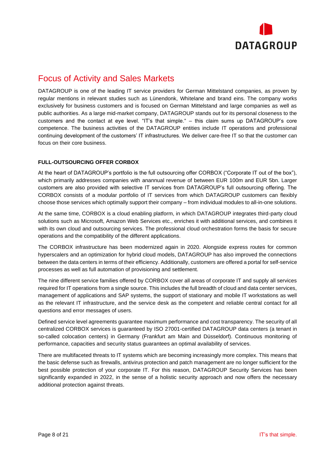

### <span id="page-8-0"></span>Focus of Activity and Sales Markets

DATAGROUP is one of the leading IT service providers for German Mittelstand companies, as proven by regular mentions in relevant studies such as Lünendonk, Whitelane and brand eins. The company works exclusively for business customers and is focused on German Mittelstand and large companies as well as public authorities. As a large mid-market company, DATAGROUP stands out for its personal closeness to the customers and the contact at eye level. "IT's that simple." – this claim sums up DATAGROUP's core competence. The business activities of the DATAGROUP entities include IT operations and professional continuing development of the customers' IT infrastructures. We deliver care-free IT so that the customer can focus on their core business.

#### **FULL-OUTSOURCING OFFER CORBOX**

At the heart of DATAGROUP's portfolio is the full outsourcing offer CORBOX ("Corporate IT out of the box"), which primarily addresses companies with anannual revenue of between EUR 100m and EUR 5bn. Larger customers are also provided with selective IT services from DATAGROUP's full outsourcing offering. The CORBOX consists of a modular portfolio of IT services from which DATAGROUP customers can flexibly choose those services which optimally support their company – from individual modules to all-in-one solutions.

At the same time, CORBOX is a cloud enabling platform, in which DATAGROUP integrates third-party cloud solutions such as Microsoft, Amazon Web Services etc., enriches it with additional services, and combines it with its own cloud and outsourcing services. The professional cloud orchestration forms the basis for secure operations and the compatibility of the different applications.

The CORBOX infrastructure has been modernized again in 2020. Alongside express routes for common hyperscalers and an optimization for hybrid cloud models, DATAGROUP has also improved the connections between the data centers in terms of their efficiency. Additionally, customers are offered a portal for self-service processes as well as full automation of provisioning and settlement.

The nine different service families offered by CORBOX cover all areas of corporate IT and supply all services required for IT operations from a single source. This includes the full breadth of cloud and data center services, management of applications and SAP systems, the support of stationary and mobile IT workstations as well as the relevant IT infrastructure, and the service desk as the competent and reliable central contact for all questions and error messages of users.

Defined service level agreements guarantee maximum performance and cost transparency. The security of all centralized CORBOX services is guaranteed by ISO 27001-certified DATAGROUP data centers (a tenant in so-called colocation centers) in Germany (Frankfurt am Main and Düsseldorf). Continuous monitoring of performance, capacities and security status guarantees an optimal availability of services.

There are multifaceted threats to IT systems which are becoming increasingly more complex. This means that the basic defense such as firewalls, antivirus protection and patch management are no longer sufficient for the best possible protection of your corporate IT. For this reason, DATAGROUP Security Services has been significantly expanded in 2022, in the sense of a holistic security approach and now offers the necessary additional protection against threats.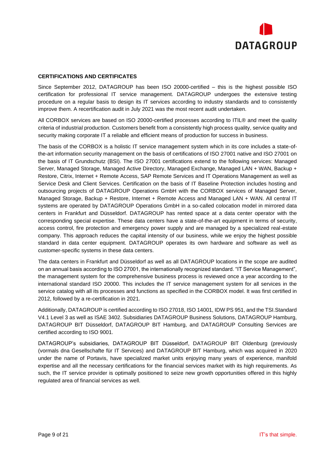

#### **CERTIFICATIONS AND CERTIFICATES**

Since September 2012, DATAGROUP has been ISO 20000-certified – this is the highest possible ISO certification for professional IT service management. DATAGROUP undergoes the extensive testing procedure on a regular basis to design its IT services according to industry standards and to consistently improve them. A recertification audit in July 2021 was the most recent audit undertaken.

All CORBOX services are based on ISO 20000-certified processes according to ITIL® and meet the quality criteria of industrial production. Customers benefit from a consistently high process quality, service quality and security making corporate IT a reliable and efficient means of production for success in business.

The basis of the CORBOX is a holistic IT service management system which in its core includes a state-ofthe-art information security management on the basis of certifications of ISO 27001 native and ISO 27001 on the basis of IT Grundschutz (BSI). The ISO 27001 certifications extend to the following services: Managed Server, Managed Storage, Managed Active Directory, Managed Exchange, Managed LAN + WAN, Backup + Restore, Citrix, Internet + Remote Access, SAP Remote Services and IT Operations Management as well as Service Desk and Client Services. Certification on the basis of IT Baseline Protection includes hosting and outsourcing projects of DATAGROUP Operations GmbH with the CORBOX services of Managed Server, Managed Storage, Backup + Restore, Internet + Remote Access and Managed LAN + WAN. All central IT systems are operated by DATAGROUP Operations GmbH in a so-called colocation model in mirrored data centers in Frankfurt and Düsseldorf. DATAGROUP has rented space at a data center operator with the corresponding special expertise. These data centers have a state-of-the-art equipment in terms of security, access control, fire protection and emergency power supply and are managed by a specialized real-estate company. This approach reduces the capital intensity of our business, while we enjoy the highest possible standard in data center equipment. DATAGROUP operates its own hardware and software as well as customer-specific systems in these data centers.

The data centers in Frankfurt and Düsseldorf as well as all DATAGROUP locations in the scope are audited on an annual basis according to ISO 27001, the internationally recognized standard. "IT Service Management", the management system for the comprehensive business process is reviewed once a year according to the international standard ISO 20000. This includes the IT service management system for all services in the service catalog with all its processes and functions as specified in the CORBOX model. It was first certified in 2012, followed by a re-certification in 2021.

Additionally, DATAGROUP is certified according to ISO 27018, ISO 14001, IDW PS 951, and the TSI.Standard V4.1 Level 3 as well as ISAE 3402. Subsidiaries DATAGROUP Business Solutions, DATAGROUP Hamburg, DATAGROUP BIT Düsseldorf, DATAGROUP BIT Hamburg, and DATAGROUP Consulting Services are certified according to ISO 9001.

<span id="page-9-0"></span>DATAGROUP's subsidiaries, DATAGROUP BIT Düsseldorf, DATAGROUP BIT Oldenburg (previously (vormals dna Gesellschafte für IT Services) and DATAGROUP BIT Hamburg, which was acquired in 2020 under the name of Portavis, have specialized market units enjoying many years of experience, manifold expertise and all the necessary certifications for the financial services market with its high requirements. As such, the IT service provider is optimally positioned to seize new growth opportunities offered in this highly regulated area of financial services as well.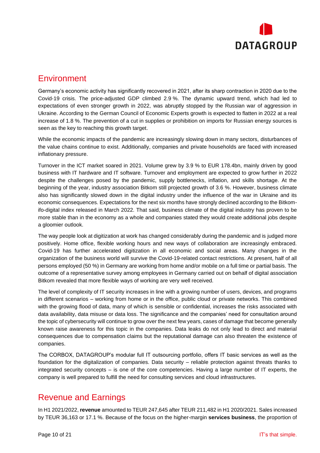

#### **Environment**

Germany's economic activity has significantly recovered in 2021, after its sharp contraction in 2020 due to the Covid-19 crisis. The price-adjusted GDP climbed 2.9 %. The dynamic upward trend, which had led to expectations of even stronger growth in 2022, was abruptly stopped by the Russian war of aggression in Ukraine. According to the German Council of Economic Experts growth is expected to flatten in 2022 at a real increase of 1.8 %. The prevention of a cut in supplies or prohibition on imports for Russian energy sources is seen as the key to reaching this growth target.

While the economic impacts of the pandemic are increasingly slowing down in many sectors, disturbances of the value chains continue to exist. Additionally, companies and private households are faced with increased inflationary pressure.

Turnover in the ICT market soared in 2021. Volume grew by 3.9 % to EUR 178.4bn, mainly driven by good business with IT hardware and IT software. Turnover and employment are expected to grow further in 2022 despite the challenges posed by the pandemic, supply bottlenecks, inflation, and skills shortage. At the beginning of the year, industry association Bitkom still projected growth of 3.6 %. However, business climate also has significantly slowed down in the digital industry under the influence of the war in Ukraine and its economic consequences. Expectations for the next six months have strongly declined according to the Bitkomifo-digital index released in March 2022. That said, business climate of the digital industry has proven to be more stable than in the economy as a whole and companies stated they would create additional jobs despite a gloomier outlook.

The way people look at digitization at work has changed considerably during the pandemic and is judged more positively. Home office, flexible working hours and new ways of collaboration are increasingly embraced. Covid-19 has further accelerated digitization in all economic and social areas. Many changes in the organization of the business world will survive the Covid-19-related contact restrictions. At present, half of all persons employed (50 %) in Germany are working from home and/or mobile on a full time or partial basis. The outcome of a representative survey among employees in Germany carried out on behalf of digital association Bitkom revealed that more flexible ways of working are very well received.

The level of complexity of IT security increases in line with a growing number of users, devices, and programs in different scenarios – working from home or in the office, public cloud or private networks. This combined with the growing flood of data, many of which is sensible or confidential, increases the risks associated with data availability, data misuse or data loss. The significance and the companies' need for consultation around the topic of cybersecurity will continue to grow over the next few years, cases of damage that become generally known raise awareness for this topic in the companies. Data leaks do not only lead to direct and material consequences due to compensation claims but the reputational damage can also threaten the existence of companies.

The CORBOX, DATAGROUP's modular full IT outsourcing portfolio, offers IT basic services as well as the foundation for the digitalization of companies. Data security – reliable protection against threats thanks to integrated security concepts – is one of the core competencies. Having a large number of IT experts, the company is well prepared to fulfill the need for consulting services and cloud infrastructures.

#### <span id="page-10-0"></span>Revenue and Earnings

In H1 2021/2022, **revenue** amounted to TEUR 247,645 after TEUR 211,482 in H1 2020/2021. Sales increased by TEUR 36,163 or 17.1 %. Because of the focus on the higher-margin **services business**, the proportion of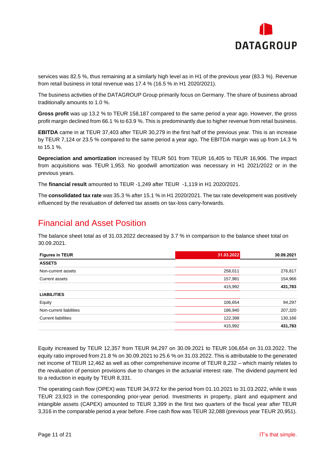

services was 82.5 %, thus remaining at a similarly high level as in H1 of the previous year (83.3 %). Revenue from retail business in total revenue was 17.4 % (16.5 % in H1 2020/2021).

The business activities of the DATAGROUP Group primarily focus on Germany. The share of business abroad traditionally amounts to 1.0 %.

**Gross profit** was up 13.2 % to TEUR 158,187 compared to the same period a year ago. However, the gross profit margin declined from 66.1 % to 63.9 %. This is predominantly due to higher revenue from retail business.

**EBITDA** came in at TEUR 37,403 after TEUR 30,279 in the first half of the previous year. This is an increase by TEUR 7,124 or 23.5 % compared to the same period a year ago. The EBITDA margin was up from 14.3 % to 15.1 %.

**Depreciation and amortization** increased by TEUR 501 from TEUR 16,405 to TEUR 16,906. The impact from acquisitions was TEUR 1,953. No goodwill amortization was necessary in H1 2021/2022 or in the previous years.

The **financial result** amounted to TEUR -1,249 after TEUR -1,119 in H1 2020/2021.

The **consolidated tax rate** was 35.3 % after 15.1 % in H1 2020/2021. The tax rate development was positively influenced by the revaluation of deferred tax assets on tax-loss carry-forwards.

#### <span id="page-11-0"></span>Financial and Asset Position

The balance sheet total as of 31.03.2022 decreased by 3.7 % in comparison to the balance sheet total on 30.09.2021.

| <b>Figures in TEUR</b>     | 31.03.2022 | 30.09.2021 |
|----------------------------|------------|------------|
| <b>ASSETS</b>              |            |            |
| Non-current assets         | 258,011    | 276,817    |
| Current assets             | 157,981    | 154,966    |
|                            | 415,992    | 431,783    |
| <b>LIABILITIES</b>         |            |            |
| Equity                     | 106,654    | 94,297     |
| Non-current liabilities    | 186,940    | 207,320    |
| <b>Current liabilities</b> | 122,398    | 130,166    |
|                            | 415,992    | 431,783    |

Equity increased by TEUR 12,357 from TEUR 94,297 on 30.09.2021 to TEUR 106,654 on 31.03.2022. The equity ratio improved from 21.8 % on 30.09.2021 to 25.6 % on 31.03.2022. This is attributable to the generated net income of TEUR 12,462 as well as other comprehensive income of TEUR 8,232 – which mainly relates to the revaluation of pension provisions due to changes in the actuarial interest rate. The dividend payment led to a reduction in equity by TEUR 8,331.

The operating cash flow (OPEX) was TEUR 34,972 for the period from 01.10.2021 to 31.03.2022, while it was TEUR 23,923 in the corresponding prior-year period. Investments in property, plant and equipment and intangible assets (CAPEX) amounted to TEUR 3,399 in the first two quarters of the fiscal year after TEUR 3,316 in the comparable period a year before. Free cash flow was TEUR 32,088 (previous year TEUR 20,951).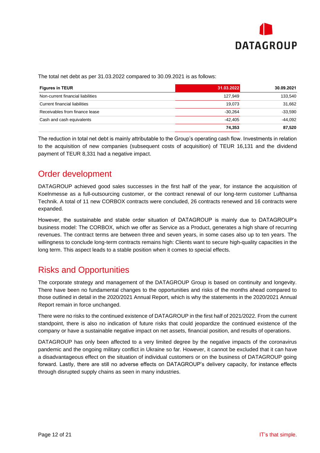

The total net debt as per 31.03.2022 compared to 30.09.2021 is as follows:

| <b>Figures in TEUR</b>            | 31.03.2022 | 30.09.2021 |
|-----------------------------------|------------|------------|
| Non-current financial liabilities | 127,949    | 133,540    |
| Current financial liabilities     | 19.073     | 31.662     |
| Receivables from finance lease    | $-30.264$  | $-33.590$  |
| Cash and cash equivalents         | $-42.405$  | $-44.092$  |
|                                   | 74,353     | 87.520     |

The reduction in total net debt is mainly attributable to the Group's operating cash flow. Investments in relation to the acquisition of new companies (subsequent costs of acquisition) of TEUR 16,131 and the dividend payment of TEUR 8,331 had a negative impact.

#### <span id="page-12-0"></span>Order development

DATAGROUP achieved good sales successes in the first half of the year, for instance the acquisition of Koelnmesse as a full-outsourcing customer, or the contract renewal of our long-term customer Lufthansa Technik. A total of 11 new CORBOX contracts were concluded, 26 contracts renewed and 16 contracts were expanded.

However, the sustainable and stable order situation of DATAGROUP is mainly due to DATAGROUP's business model: The CORBOX, which we offer as Service as a Product, generates a high share of recurring revenues. The contract terms are between three and seven years, in some cases also up to ten years. The willingness to conclude long-term contracts remains high: Clients want to secure high-quality capacities in the long term. This aspect leads to a stable position when it comes to special effects.

### <span id="page-12-1"></span>Risks and Opportunities

The corporate strategy and management of the DATAGROUP Group is based on continuity and longevity. There have been no fundamental changes to the opportunities and risks of the months ahead compared to those outlined in detail in the 2020/2021 Annual Report, which is why the statements in the 2020/2021 Annual Report remain in force unchanged.

There were no risks to the continued existence of DATAGROUP in the first half of 2021/2022. From the current standpoint, there is also no indication of future risks that could jeopardize the continued existence of the company or have a sustainable negative impact on net assets, financial position, and results of operations.

DATAGROUP has only been affected to a very limited degree by the negative impacts of the coronavirus pandemic and the ongoing military conflict in Ukraine so far. However, it cannot be excluded that it can have a disadvantageous effect on the situation of individual customers or on the business of DATAGROUP going forward. Lastly, there are still no adverse effects on DATAGROUP's delivery capacity, for instance effects through disrupted supply chains as seen in many industries.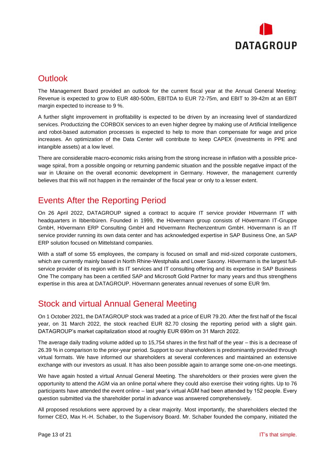

### <span id="page-13-0"></span>**Outlook**

The Management Board provided an outlook for the current fiscal year at the Annual General Meeting: Revenue is expected to grow to EUR 480-500m, EBITDA to EUR 72-75m, and EBIT to 39-42m at an EBIT margin expected to increase to 9 %.

A further slight improvement in profitability is expected to be driven by an increasing level of standardized services. Productizing the CORBOX services to an even higher degree by making use of Artificial Intelligence and robot-based automation processes is expected to help to more than compensate for wage and price increases. An optimization of the Data Center will contribute to keep CAPEX (investments in PPE and intangible assets) at a low level.

There are considerable macro-economic risks arising from the strong increase in inflation with a possible pricewage spiral, from a possible ongoing or returning pandemic situation and the possible negative impact of the war in Ukraine on the overall economic development in Germany. However, the management currently believes that this will not happen in the remainder of the fiscal year or only to a lesser extent.

#### <span id="page-13-1"></span>Events After the Reporting Period

On 26 April 2022, DATAGROUP signed a contract to acquire IT service provider Hövermann IT with headquarters in Ibbenbüren. Founded in 1999, the Hövermann group consists of Hövermann IT-Gruppe GmbH, Hövermann ERP Consulting GmbH and Hövermann Rechenzentrum GmbH. Hövermann is an IT service provider running its own data center and has acknowledged expertise in SAP Business One, an SAP ERP solution focused on Mittelstand companies.

With a staff of some 55 employees, the company is focused on small and mid-sized corporate customers, which are currently mainly based in North Rhine-Westphalia and Lower Saxony. Hövermann is the largest fullservice provider of its region with its IT services and IT consulting offering and its expertise in SAP Business One The company has been a certified SAP and Microsoft Gold Partner for many years and thus strengthens expertise in this area at DATAGROUP. Hövermann generates annual revenues of some EUR 9m.

#### <span id="page-13-2"></span>Stock and virtual Annual General Meeting

On 1 October 2021, the DATAGROUP stock was traded at a price of EUR 79.20. After the first half of the fiscal year, on 31 March 2022, the stock reached EUR 82.70 closing the reporting period with a slight gain. DATAGROUP's market capitalization stood at roughly EUR 690m on 31 March 2022.

The average daily trading volume added up to 15,754 shares in the first half of the year – this is a decrease of 26.39 % in comparison to the prior-year period. Support to our shareholders is predominantly provided through virtual formats. We have informed our shareholders at several conferences and maintained an extensive exchange with our investors as usual. It has also been possible again to arrange some one-on-one meetings.

We have again hosted a virtual Annual General Meeting. The shareholders or their proxies were given the opportunity to attend the AGM via an online portal where they could also exercise their voting rights. Up to 76 participants have attended the event online – last year's virtual AGM had been attended by 152 people. Every question submitted via the shareholder portal in advance was answered comprehensively.

All proposed resolutions were approved by a clear majority. Most importantly, the shareholders elected the former CEO, Max H.-H. Schaber, to the Supervisory Board. Mr. Schaber founded the company, initiated the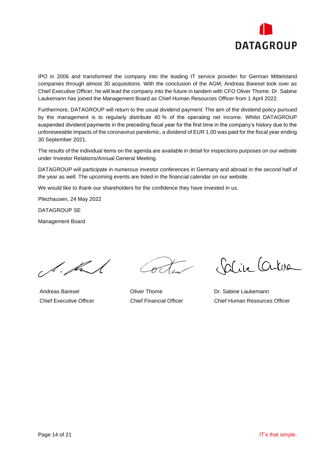

IPO in 2006 and transformed the company into the leading IT service provider for German Mittelstand companies through almost 30 acquisitions. With the conclusion of the AGM, Andreas Baresel took over as Chief Executive Officer; he will lead the company into the future in tandem with CFO Oliver Thome. Dr. Sabine Laukemann has joined the Management Board as Chief Human Resources Officer from 1 April 2022.

Furthermore, DATAGROUP will return to the usual dividend payment: The aim of the dividend policy pursued by the management is to regularly distribute 40 % of the operating net income. Whilst DATAGROUP suspended dividend payments in the preceding fiscal year for the first time in the company's history due to the unforeseeable impacts of the coronavirus pandemic, a dividend of EUR 1.00 was paid for the fiscal year ending 30 September 2021.

The results of the individual items on the agenda are available in detail for inspections purposes on our website under Investor Relations/Annual General Meeting.

DATAGROUP will participate in numerous investor conferences in Germany and abroad in the second half of the year as well. The upcoming events are listed in the financial calendar on our website.

We would like to thank our shareholders for the confidence they have invested in us.

Pliezhausen, 24 May 2022

DATAGROUP SE

Management Board

A. Kul

Andreas Baresel Chief Executive Officer

Oliver Thome Chief Financial Officer

Carine Cartera

Dr. Sabine Laukemann Chief Human Resources Officer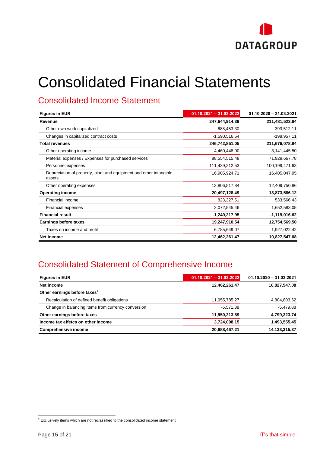

# <span id="page-15-0"></span>Consolidated Financial Statements

### <span id="page-15-1"></span>Consolidated Income Statement

| <b>Figures in EUR</b>                                                        | $01.10.2021 - 31.03.2022$ | $01.10.2020 - 31.03.2021$ |  |  |
|------------------------------------------------------------------------------|---------------------------|---------------------------|--|--|
| Revenue                                                                      | 247,644,914.39            | 211,481,523.84            |  |  |
| Other own work capitalized                                                   | 688,453.30                | 393,512.11                |  |  |
| Changes in capitalized contract costs                                        | $-1,590,516.64$           | $-198,957.11$             |  |  |
| <b>Total revenues</b>                                                        | 246,742,851.05            | 211,676,078.84            |  |  |
| Other operating income                                                       | 4,460,448.00              | 3,141,445.50              |  |  |
| Material expenses / Expenses for purchased services                          | 88,554,515.48             | 71,929,667.78             |  |  |
| Personnel expenses                                                           | 111,439,212.53            | 100,199,471.63            |  |  |
| Depreciation of property, plant and equipment and other intangible<br>assets | 16,905,924.71             | 16,405,047.95             |  |  |
| Other operating expenses                                                     | 13,806,517.84             | 12,409,750.86             |  |  |
| <b>Operating income</b>                                                      | 20,497,128.49             | 13,873,586.12             |  |  |
| Financial income                                                             | 823,327.51                | 533,566.43                |  |  |
| Financial expenses                                                           | 2,072,545.46              | 1,652,583.05              |  |  |
| <b>Financial result</b>                                                      | -1,249,217.95             | $-1,119,016.62$           |  |  |
| <b>Earnings before taxes</b>                                                 | 19,247,910.54             | 12,754,569.50             |  |  |
| Taxes on income and profit                                                   | 6,785,649.07              | 1,927,022.42              |  |  |
| Net income                                                                   | 12,462,261.47             | 10,827,547.08             |  |  |

## <span id="page-15-2"></span>Consolidated Statement of Comprehensive Income

| <b>Figures in EUR</b>                              | $01.10.2021 - 31.03.2022$ | $01.10.2020 - 31.03.2021$ |
|----------------------------------------------------|---------------------------|---------------------------|
| Net income                                         | 12,462,261.47             | 10,827,547.08             |
| Other earnings before taxes <sup>3</sup>           |                           |                           |
| Recalculation of defined benefit obligations       | 11,955,785.27             | 4,804,803.62              |
| Change in balancing items from currency conversion | $-5.571.38$               | $-5.479.88$               |
| Other earnings before taxes                        | 11,950,213.89             | 4,799,323.74              |
| Income tax effetcs on other income                 | 3,724,008.15              | 1,493,555.45              |
| <b>Comprehensive income</b>                        | 20,688,467.21             | 14, 133, 315. 37          |

 $3$  Exclusively items which are not reclassified to the consolidated income statement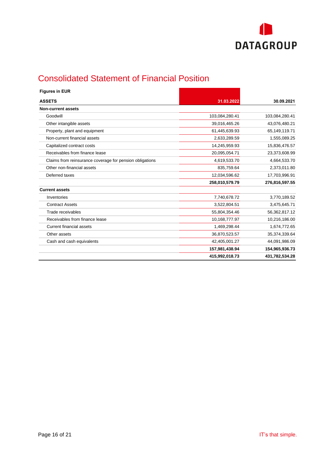

# <span id="page-16-0"></span>Consolidated Statement of Financial Position

| <b>Figures in EUR</b>                                    |                |                |
|----------------------------------------------------------|----------------|----------------|
| <b>ASSETS</b>                                            | 31.03.2022     | 30.09.2021     |
| <b>Non-current assets</b>                                |                |                |
| Goodwill                                                 | 103,084,280.41 | 103,084,280.41 |
| Other intangible assets                                  | 39,016,465.26  | 43,076,480.21  |
| Property, plant and equipment                            | 61,445,639.93  | 65,149,119.71  |
| Non-current financial assets                             | 2,633,289.59   | 1,555,089.25   |
| Capitalized contract costs                               | 14,245,959.93  | 15,836,476.57  |
| Receivables from finance lease                           | 20,095,054.71  | 23,373,608.99  |
| Claims from reinsurance coverage for pension obligations | 4,619,533.70   | 4,664,533.70   |
| Other non-financial assets                               | 835,759.64     | 2,373,011.80   |
| Deferred taxes                                           | 12,034,596.62  | 17,703,996.91  |
|                                                          | 258,010,579.79 | 276,816,597.55 |
| <b>Current assets</b>                                    |                |                |
| Inventories                                              | 7,740,678.72   | 3,770,189.52   |
| <b>Contract Assets</b>                                   | 3,522,804.51   | 3,475,645.71   |
| Trade receivables                                        | 55,804,354.46  | 56,362,817.12  |
| Receivables from finance lease                           | 10,168,777.97  | 10,216,186.00  |
| Current financial assets                                 | 1,469,298.44   | 1,674,772.65   |
| Other assets                                             | 36,870,523.57  | 35,374,339.64  |
| Cash and cash equivalents                                | 42,405,001.27  | 44,091,986.09  |
|                                                          | 157,981,438.94 | 154,965,936.73 |
|                                                          | 415,992,018.73 | 431,782,534.28 |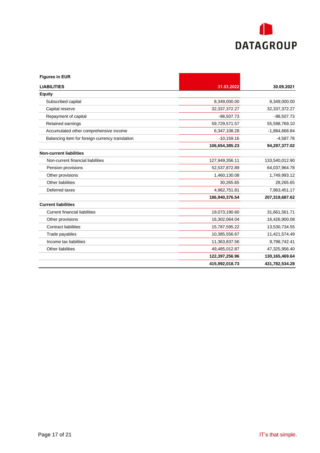

| <b>Figures in EUR</b>                           |                |                   |
|-------------------------------------------------|----------------|-------------------|
| <b>LIABILITIES</b>                              | 31.03.2022     | 30.09.2021        |
| <b>Equity</b>                                   |                |                   |
| Subscribed capital                              | 8,349,000.00   | 8,349,000.00      |
| Capital reserve                                 | 32,337,372.27  | 32, 37, 372. 27   |
| Repayment of capital                            | $-98,507.73$   | $-98,507.73$      |
| Retained earnings                               | 59,729,571.57  | 55,598,769.10     |
| Accumulated other comprehensive income          | 6,347,108.28   | $-1,884,668.84$   |
| Balancing item for foreign currency translation | $-10,159.16$   | $-4,587.78$       |
|                                                 | 106,654,385.23 | 94,297,377.02     |
| <b>Non-current liabilities</b>                  |                |                   |
| Non-current financial liabilities               | 127,949,356.11 | 133,540,012.90    |
| Pension provisions                              | 52,537,872.89  | 64,037,964.78     |
| Other provisions                                | 1,460,130.08   | 1,749,993.12      |
| Other liabilities                               | 30,265.65      | 28,265.65         |
| Deferred taxes                                  | 4,962,751.81   | 7,963,451.17      |
|                                                 | 186,940,376.54 | 207,319,687.62    |
| <b>Current liabilities</b>                      |                |                   |
| <b>Current financial liabilities</b>            | 19,073,190.60  | 31,661,561.71     |
| Other provisions                                | 16,302,064.04  | 16,426,900.08     |
| <b>Contract liabilities</b>                     | 15,787,595.22  | 13,530,734.55     |
| Trade payables                                  | 10,385,556.67  | 11,421,574.49     |
| Income tax liabilities                          | 11,363,837.56  | 9,798,742.41      |
| <b>Other liabilities</b>                        | 49,485,012.87  | 47,325,956.40     |
|                                                 | 122,397,256.96 | 130, 165, 469. 64 |
|                                                 | 415,992,018.73 | 431,782,534.28    |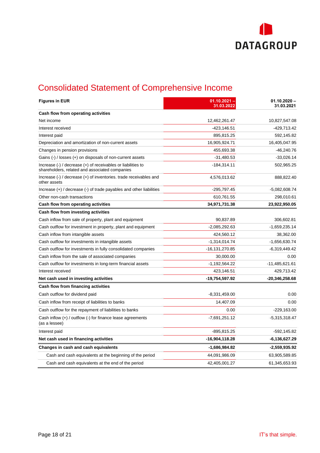

# <span id="page-18-0"></span>Consolidated Statement of Comprehensive Income

| <b>Figures in EUR</b>                                                                                                                                        | $01.10.2021 -$<br>31.03.2022 | $01.10.2020 -$<br>31.03.2021 |
|--------------------------------------------------------------------------------------------------------------------------------------------------------------|------------------------------|------------------------------|
| Cash flow from operating activities                                                                                                                          |                              |                              |
| Net income                                                                                                                                                   | 12,462,261.47                | 10,827,547.08                |
| Interest received                                                                                                                                            | $-423,146.51$                | -429,713.42                  |
| Interest paid                                                                                                                                                | 895,815.25                   | 592,145.82                   |
| Depreciation and amortization of non-current assets                                                                                                          | 16,905,924.71                | 16,405,047.95                |
| Changes in pension provisions                                                                                                                                | 455,693.38                   | $-46,240.76$                 |
| Gains $(-)$ / losses $(+)$ on disposals of non-current assets                                                                                                | $-31,480.53$                 | $-33,026.14$                 |
| Increase $\left(\frac{1}{2}\right)$ / decrease $\left(\frac{1}{2}\right)$ of receivables or liabilities to<br>shareholders, related and associated companies | $-184,314.11$                | 502,965.25                   |
| Increase $\left(\cdot\right)$ / decrease $\left(\cdot\right)$ of inventories. trade receivables and<br>other assets                                          | 4,576,013.62                 | 888,822.40                   |
| Increase $(+)$ / decrease $(-)$ of trade payables and other liabilities                                                                                      | -295,797.45                  | $-5,082,608.74$              |
| Other non-cash transactions                                                                                                                                  | 610,761.55                   | 298,010.61                   |
| Cash flow from operating activities                                                                                                                          | 34,971,731.38                | 23,922,950.05                |
| Cash flow from investing activities                                                                                                                          |                              |                              |
| Cash inflow from sale of property, plant and equipment                                                                                                       | 90,837.89                    | 306,602.81                   |
| Cash outflow for investment in property, plant and equipment                                                                                                 | $-2,085,292.63$              | $-1,659,235.14$              |
| Cash inflow from intangible assets                                                                                                                           | 424,560.12                   | 38,362.00                    |
| Cash outflow for investments in intangible assets                                                                                                            | $-1,314,014.74$              | -1,656,630.74                |
| Cash outflow for investments in fully consolidated companies                                                                                                 | -16,131,270.85               | $-6,319,449.42$              |
| Cash inflow from the sale of associated companies                                                                                                            | 30,000.00                    | 0.00                         |
| Cash outflow for investments in long-term financial assets                                                                                                   | $-1,192,564.22$              | -11,485,621.61               |
| Interest received                                                                                                                                            | 423,146.51                   | 429,713.42                   |
| Net cash used in investing activities                                                                                                                        | -19,754,597.92               | $-20,346,258.68$             |
| Cash flow from financing activities                                                                                                                          |                              |                              |
| Cash outflow for dividend paid                                                                                                                               | $-8,331,459.00$              | 0.00                         |
| Cash inflow from receipt of liabilities to banks                                                                                                             | 14,407.09                    | 0.00                         |
| Cash outflow for the repayment of liabilities to banks                                                                                                       | 0.00                         | $-229,163.00$                |
| Cash inflow $(+)$ / outflow $($ -) for finance lease agreements<br>(as a lessee)                                                                             | $-7,691,251.12$              | $-5,315,318.47$              |
| Interest paid                                                                                                                                                | $-895, 815.25$               | $-592, 145.82$               |
| Net cash used in financing activities                                                                                                                        | -16,904,118.28               | -6,136,627.29                |
| Changes in cash and cash equivalents                                                                                                                         | -1,686,984.82                | $-2,559,935.92$              |
| Cash and cash equivalents at the beginning of the period                                                                                                     | 44,091,986.09                | 63,905,589.85                |
| Cash and cash equivalents at the end of the period                                                                                                           | 42,405,001.27                | 61,345,653.93                |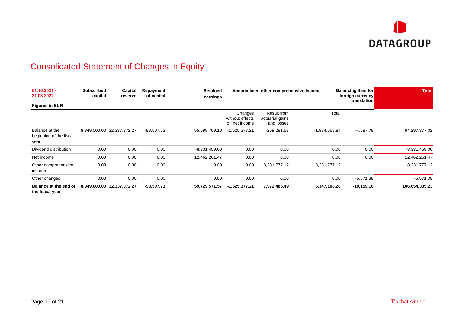

# Consolidated Statement of Changes in Equity

<span id="page-19-0"></span>

| $01.10.2021 -$<br>31.03.2022                      | <b>Subscribed</b><br>capital | Capital<br>reserve         | Repayment<br>of capital | <b>Retained</b><br>earnings | Accumulated other comprehensive income      |                                              |                 |       | <b>Balancing item for</b><br>foreign currency<br>translation | <b>Total</b>    |
|---------------------------------------------------|------------------------------|----------------------------|-------------------------|-----------------------------|---------------------------------------------|----------------------------------------------|-----------------|-------|--------------------------------------------------------------|-----------------|
| <b>Figures in EUR</b>                             |                              |                            |                         |                             |                                             |                                              |                 |       |                                                              |                 |
|                                                   |                              |                            |                         |                             | Changes<br>without effects<br>on net income | Result from<br>actuarial gains<br>and losses |                 | Total |                                                              |                 |
| Balance at the<br>beginning of the fiscal<br>year |                              | 8,349,000.00 32,337,372.27 | $-98,507.73$            | 55,598,769.10               | $-1,625,377.21$                             | $-259,291.63$                                | $-1,884,668.84$ |       | $-4,587.78$                                                  | 94,297,377.02   |
| Dividend distribution                             | 0.00                         | 0.00                       | 0.00                    | $-8,331,459.00$             | 0.00                                        | 0.00                                         |                 | 0.00  | 0.00                                                         | $-8,331,459.00$ |
| Net income                                        | 0.00                         | 0.00                       | 0.00                    | 12,462,261.47               | 0.00                                        | 0.00                                         |                 | 0.00  | 0.00                                                         | 12,462,261.47   |
| Other comprehensive<br>income                     | 0.00                         | 0.00                       | 0.00                    | 0.00                        | 0.00                                        | 8,231,777.12                                 | 8,231,777.12    |       |                                                              | 8,231,777.12    |
| Other changes                                     | 0.00                         | 0.00                       | 0.00                    | 0.00                        | 0.00                                        | 0.00                                         |                 | 0.00  | $-5,571.38$                                                  | $-5,571.38$     |
| Balance at the end of<br>the fiscal year          |                              | 8,349,000.00 32,337,372.27 | $-98,507.73$            | 59,729,571.57               | $-1,625,377.21$                             | 7,972,485.49                                 | 6,347,108.28    |       | $-10,159.16$                                                 | 106,654,385.23  |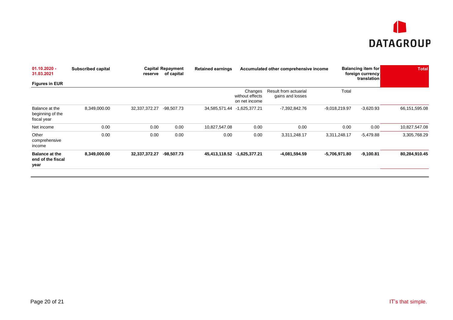

| $01.10.2020 -$<br>31.03.2021                       | <b>Subscribed capital</b> | <b>Capital Repayment</b><br>of capital<br>reserve |              | <b>Retained earnings</b> | Accumulated other comprehensive income |                  |                 | <b>Balancing item for</b><br>foreign currency<br>translation | <b>Total</b>  |
|----------------------------------------------------|---------------------------|---------------------------------------------------|--------------|--------------------------|----------------------------------------|------------------|-----------------|--------------------------------------------------------------|---------------|
| <b>Figures in EUR</b>                              |                           |                                                   |              |                          | Result from actuarial<br>Changes       |                  | Total           |                                                              |               |
|                                                    |                           |                                                   |              |                          | without effects<br>on net income       | gains and losses |                 |                                                              |               |
| Balance at the<br>beginning of the<br>fiscal year  | 8,349,000.00              | 32,337,372.27                                     | $-98,507.73$ |                          | 34,585,571.44 -1,625,377.21            | -7,392,842.76    | $-9,018,219.97$ | $-3,620.93$                                                  | 66,151,595.08 |
| Net income                                         | 0.00                      | 0.00                                              | 0.00         | 10,827,547.08            | 0.00                                   | 0.00             | 0.00            | 0.00                                                         | 10,827,547.08 |
| Other<br>comprehensive<br>income                   | 0.00                      | 0.00                                              | 0.00         | 0.00                     | 0.00                                   | 3,311,248.17     | 3,311,248.17    | $-5,479.88$                                                  | 3,305,768.29  |
| <b>Balance at the</b><br>end of the fiscal<br>year | 8,349,000.00              | 32,337,372.27                                     | -98,507.73   |                          | 45,413,118.52 -1,625,377.21            | -4,081,594.59    | -5,706,971.80   | $-9,100.81$                                                  | 80,284,910.45 |